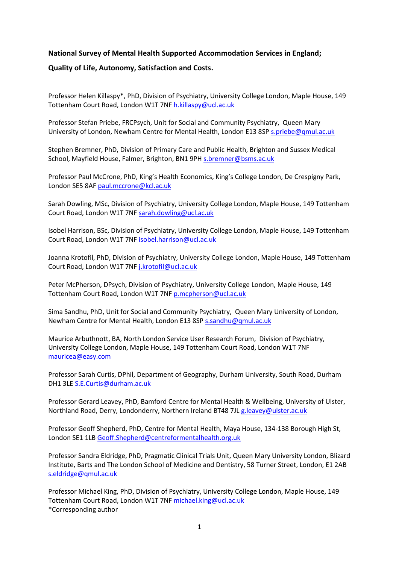# **National Survey of Mental Health Supported Accommodation Services in England;**

# **Quality of Life, Autonomy, Satisfaction and Costs.**

Professor Helen Killaspy\*, PhD, Division of Psychiatry, University College London, Maple House, 149 Tottenham Court Road, London W1T 7NF [h.killaspy@ucl.ac.uk](mailto:h.killaspy@ucl.ac.uk)

Professor Stefan Priebe, FRCPsych, Unit for Social and Community Psychiatry, Queen Mary University of London, Newham Centre for Mental Health, London E13 8SP [s.priebe@qmul.ac.uk](mailto:s.priebe@qmul.ac.uk)

Stephen Bremner, PhD, Division of Primary Care and Public Health, Brighton and Sussex Medical School, Mayfield House, Falmer, Brighton, BN1 9PH s.bremner@bsms.ac.uk

Professor Paul McCrone, PhD, King's Health Economics, King's College London, De Crespigny Park, London SE5 8AF [paul.mccrone@kcl.ac.uk](mailto:paul.mccrone@kcl.ac.uk)

Sarah Dowling, MSc, Division of Psychiatry, University College London, Maple House, 149 Tottenham Court Road, London W1T 7NF [sarah.dowling@ucl.ac.uk](mailto:sarah.dowling@ucl.ac.uk)

Isobel Harrison, BSc, Division of Psychiatry, University College London, Maple House, 149 Tottenham Court Road, London W1T 7NF [isobel.harrison@ucl.ac.uk](mailto:isobel.harrison@ucl.ac.uk)

Joanna Krotofil, PhD, Division of Psychiatry, University College London, Maple House, 149 Tottenham Court Road, London W1T 7NF [j.krotofil@ucl.ac.uk](mailto:j.krotofil@ucl.ac.uk)

Peter McPherson, DPsych, Division of Psychiatry, University College London, Maple House, 149 Tottenham Court Road, London W1T 7NF [p.mcpherson@ucl.ac.uk](mailto:p.mcpherson@ucl.ac.uk)

Sima Sandhu, PhD, Unit for Social and Community Psychiatry, Queen Mary University of London, Newham Centre for Mental Health, London E13 8SP [s.sandhu@qmul.ac.uk](mailto:s.sandhu@qmul.ac.uk)

Maurice Arbuthnott, BA, North London Service User Research Forum, Division of Psychiatry, University College London, Maple House, 149 Tottenham Court Road, London W1T 7NF [mauricea@easy.com](mailto:mauricea@easy.com)

Professor Sarah Curtis, DPhil, Department of Geography, Durham University, South Road, Durham DH1 3LE [S.E.Curtis@durham.ac.uk](mailto:S.E.Curtis@durham.ac.uk)

Professor Gerard Leavey, PhD, Bamford Centre for Mental Health & Wellbeing, University of Ulster, Northland Road, Derry, Londonderry, Northern Ireland BT48 7JL [g.leavey@ulster.ac.uk](mailto:g.leavey@ulster.ac.uk)

Professor Geoff Shepherd, PhD, Centre for Mental Health, Maya House, 134-138 Borough High St, London SE1 1LB [Geoff.Shepherd@centreformentalhealth.org.uk](mailto:Geoff.Shepherd@centreformentalhealth.org.uk)

Professor Sandra Eldridge, PhD, Pragmatic Clinical Trials Unit, Queen Mary University London, Blizard Institute, Barts and The London School of Medicine and Dentistry, 58 Turner Street, London, E1 2AB [s.eldridge@qmul.ac.uk](mailto:s.eldridge@qmul.ac.uk)

Professor Michael King, PhD, Division of Psychiatry, University College London, Maple House, 149 Tottenham Court Road, London W1T 7NF [michael.king@ucl.ac.uk](mailto:michael.king@ucl.ac.uk) \*Corresponding author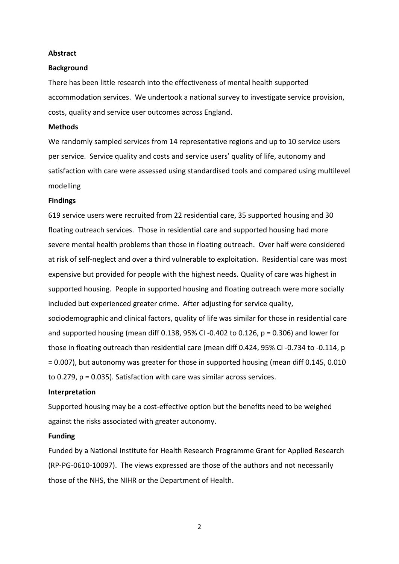#### **Abstract**

#### **Background**

There has been little research into the effectiveness of mental health supported accommodation services. We undertook a national survey to investigate service provision, costs, quality and service user outcomes across England.

#### **Methods**

We randomly sampled services from 14 representative regions and up to 10 service users per service. Service quality and costs and service users' quality of life, autonomy and satisfaction with care were assessed using standardised tools and compared using multilevel modelling

#### **Findings**

619 service users were recruited from 22 residential care, 35 supported housing and 30 floating outreach services. Those in residential care and supported housing had more severe mental health problems than those in floating outreach. Over half were considered at risk of self-neglect and over a third vulnerable to exploitation. Residential care was most expensive but provided for people with the highest needs. Quality of care was highest in supported housing. People in supported housing and floating outreach were more socially included but experienced greater crime. After adjusting for service quality, sociodemographic and clinical factors, quality of life was similar for those in residential care and supported housing (mean diff 0.138, 95% CI -0.402 to 0.126,  $p = 0.306$ ) and lower for those in floating outreach than residential care (mean diff 0.424, 95% CI -0.734 to -0.114, p = 0.007), but autonomy was greater for those in supported housing (mean diff 0.145, 0.010 to 0.279, p = 0.035). Satisfaction with care was similar across services.

## **Interpretation**

Supported housing may be a cost-effective option but the benefits need to be weighed against the risks associated with greater autonomy.

#### **Funding**

Funded by a National Institute for Health Research Programme Grant for Applied Research (RP-PG-0610-10097). The views expressed are those of the authors and not necessarily those of the NHS, the NIHR or the Department of Health.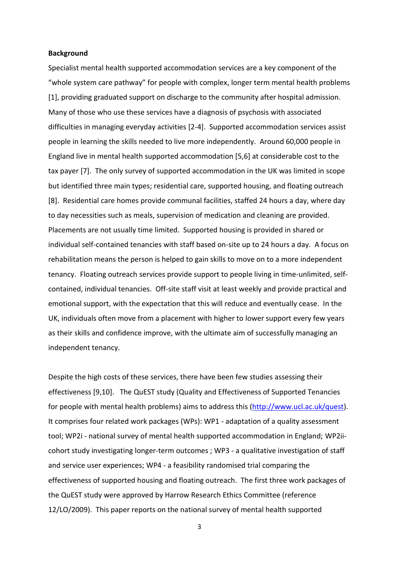#### **Background**

Specialist mental health supported accommodation services are a key component of the "whole system care pathway" for people with complex, longer term mental health problems [1], providing graduated support on discharge to the community after hospital admission. Many of those who use these services have a diagnosis of psychosis with associated difficulties in managing everyday activities [2-4]. Supported accommodation services assist people in learning the skills needed to live more independently. Around 60,000 people in England live in mental health supported accommodation [5,6] at considerable cost to the tax payer [7]. The only survey of supported accommodation in the UK was limited in scope but identified three main types; residential care, supported housing, and floating outreach [8]. Residential care homes provide communal facilities, staffed 24 hours a day, where day to day necessities such as meals, supervision of medication and cleaning are provided. Placements are not usually time limited. Supported housing is provided in shared or individual self-contained tenancies with staff based on-site up to 24 hours a day. A focus on rehabilitation means the person is helped to gain skills to move on to a more independent tenancy. Floating outreach services provide support to people living in time-unlimited, selfcontained, individual tenancies. Off-site staff visit at least weekly and provide practical and emotional support, with the expectation that this will reduce and eventually cease. In the UK, individuals often move from a placement with higher to lower support every few years as their skills and confidence improve, with the ultimate aim of successfully managing an independent tenancy.

Despite the high costs of these services, there have been few studies assessing their effectiveness [9,10]. The QuEST study (Quality and Effectiveness of Supported Tenancies for people with mental health problems) aims to address this [\(http://www.ucl.ac.uk/quest\)](http://www.ucl.ac.uk/quest). It comprises four related work packages (WPs): WP1 - adaptation of a quality assessment tool; WP2i - national survey of mental health supported accommodation in England; WP2iicohort study investigating longer-term outcomes ; WP3 - a qualitative investigation of staff and service user experiences; WP4 - a feasibility randomised trial comparing the effectiveness of supported housing and floating outreach. The first three work packages of the QuEST study were approved by Harrow Research Ethics Committee (reference 12/LO/2009). This paper reports on the national survey of mental health supported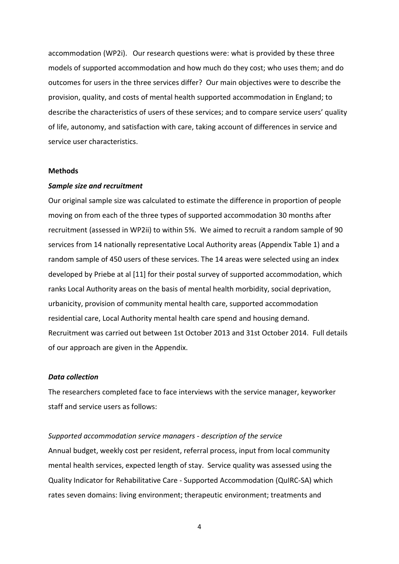accommodation (WP2i). Our research questions were: what is provided by these three models of supported accommodation and how much do they cost; who uses them; and do outcomes for users in the three services differ? Our main objectives were to describe the provision, quality, and costs of mental health supported accommodation in England; to describe the characteristics of users of these services; and to compare service users' quality of life, autonomy, and satisfaction with care, taking account of differences in service and service user characteristics.

#### **Methods**

#### *Sample size and recruitment*

Our original sample size was calculated to estimate the difference in proportion of people moving on from each of the three types of supported accommodation 30 months after recruitment (assessed in WP2ii) to within 5%. We aimed to recruit a random sample of 90 services from 14 nationally representative Local Authority areas (Appendix Table 1) and a random sample of 450 users of these services. The 14 areas were selected using an index developed by Priebe at al [11] for their postal survey of supported accommodation, which ranks Local Authority areas on the basis of mental health morbidity, social deprivation, urbanicity, provision of community mental health care, supported accommodation residential care, Local Authority mental health care spend and housing demand. Recruitment was carried out between 1st October 2013 and 31st October 2014. Full details of our approach are given in the Appendix.

### *Data collection*

The researchers completed face to face interviews with the service manager, keyworker staff and service users as follows:

#### *Supported accommodation service managers - description of the service*

Annual budget, weekly cost per resident, referral process, input from local community mental health services, expected length of stay. Service quality was assessed using the Quality Indicator for Rehabilitative Care - Supported Accommodation (QuIRC-SA) which rates seven domains: living environment; therapeutic environment; treatments and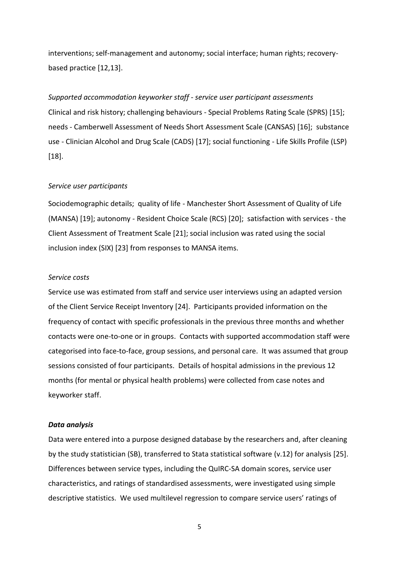interventions; self-management and autonomy; social interface; human rights; recoverybased practice [12,13].

*Supported accommodation keyworker staff - service user participant assessments*  Clinical and risk history; challenging behaviours - Special Problems Rating Scale (SPRS) [15]; needs - Camberwell Assessment of Needs Short Assessment Scale (CANSAS) [16]; substance use - Clinician Alcohol and Drug Scale (CADS) [17]; social functioning - Life Skills Profile (LSP) [18].

#### *Service user participants*

Sociodemographic details; quality of life - Manchester Short Assessment of Quality of Life (MANSA) [19]; autonomy - Resident Choice Scale (RCS) [20]; satisfaction with services - the Client Assessment of Treatment Scale [21]; social inclusion was rated using the social inclusion index (SIX) [23] from responses to MANSA items.

## *Service costs*

Service use was estimated from staff and service user interviews using an adapted version of the Client Service Receipt Inventory [24]. Participants provided information on the frequency of contact with specific professionals in the previous three months and whether contacts were one-to-one or in groups. Contacts with supported accommodation staff were categorised into face-to-face, group sessions, and personal care. It was assumed that group sessions consisted of four participants. Details of hospital admissions in the previous 12 months (for mental or physical health problems) were collected from case notes and keyworker staff.

#### *Data analysis*

Data were entered into a purpose designed database by the researchers and, after cleaning by the study statistician (SB), transferred to Stata statistical software (v.12) for analysis [25]. Differences between service types, including the QuIRC-SA domain scores, service user characteristics, and ratings of standardised assessments, were investigated using simple descriptive statistics. We used multilevel regression to compare service users' ratings of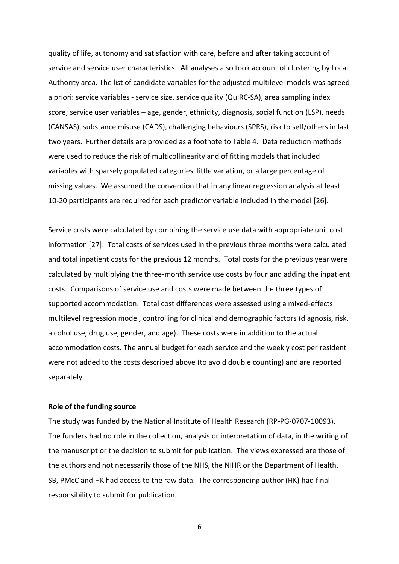quality of life, autonomy and satisfaction with care, before and after taking account of service and service user characteristics. All analyses also took account of clustering by Local Authority area. The list of candidate variables for the adjusted multilevel models was agreed a priori: service variables - service size, service quality (QuIRC-SA), area sampling index score; service user variables – age, gender, ethnicity, diagnosis, social function (LSP), needs (CANSAS), substance misuse (CADS), challenging behaviours (SPRS), risk to self/others in last two years. Further details are provided as a footnote to Table 4. Data reduction methods were used to reduce the risk of multicollinearity and of fitting models that included variables with sparsely populated categories, little variation, or a large percentage of missing values. We assumed the convention that in any linear regression analysis at least 10-20 participants are required for each predictor variable included in the model [26].

Service costs were calculated by combining the service use data with appropriate unit cost information [27]. Total costs of services used in the previous three months were calculated and total inpatient costs for the previous 12 months. Total costs for the previous year were calculated by multiplying the three-month service use costs by four and adding the inpatient costs. Comparisons of service use and costs were made between the three types of supported accommodation. Total cost differences were assessed using a mixed-effects multilevel regression model, controlling for clinical and demographic factors (diagnosis, risk, alcohol use, drug use, gender, and age). These costs were in addition to the actual accommodation costs. The annual budget for each service and the weekly cost per resident were not added to the costs described above (to avoid double counting) and are reported separately.

# **Role of the funding source**

The study was funded by the National Institute of Health Research (RP-PG-0707-10093). The funders had no role in the collection, analysis or interpretation of data, in the writing of the manuscript or the decision to submit for publication. The views expressed are those of the authors and not necessarily those of the NHS, the NIHR or the Department of Health. SB, PMcC and HK had access to the raw data. The corresponding author (HK) had final responsibility to submit for publication.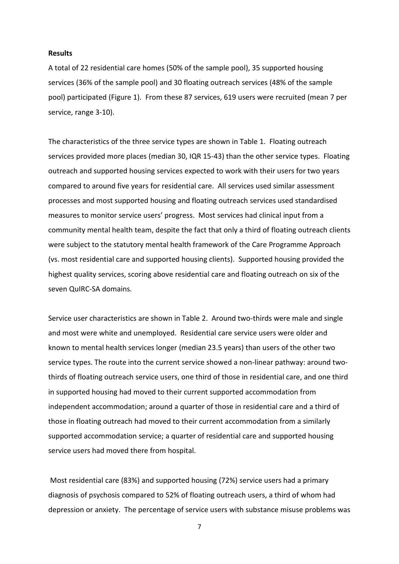#### **Results**

A total of 22 residential care homes (50% of the sample pool), 35 supported housing services (36% of the sample pool) and 30 floating outreach services (48% of the sample pool) participated (Figure 1). From these 87 services, 619 users were recruited (mean 7 per service, range 3-10).

The characteristics of the three service types are shown in Table 1. Floating outreach services provided more places (median 30, IQR 15-43) than the other service types. Floating outreach and supported housing services expected to work with their users for two years compared to around five years for residential care. All services used similar assessment processes and most supported housing and floating outreach services used standardised measures to monitor service users' progress. Most services had clinical input from a community mental health team, despite the fact that only a third of floating outreach clients were subject to the statutory mental health framework of the Care Programme Approach (vs. most residential care and supported housing clients). Supported housing provided the highest quality services, scoring above residential care and floating outreach on six of the seven QuIRC-SA domains.

Service user characteristics are shown in Table 2. Around two-thirds were male and single and most were white and unemployed. Residential care service users were older and known to mental health services longer (median 23.5 years) than users of the other two service types. The route into the current service showed a non-linear pathway: around twothirds of floating outreach service users, one third of those in residential care, and one third in supported housing had moved to their current supported accommodation from independent accommodation; around a quarter of those in residential care and a third of those in floating outreach had moved to their current accommodation from a similarly supported accommodation service; a quarter of residential care and supported housing service users had moved there from hospital.

Most residential care (83%) and supported housing (72%) service users had a primary diagnosis of psychosis compared to 52% of floating outreach users, a third of whom had depression or anxiety. The percentage of service users with substance misuse problems was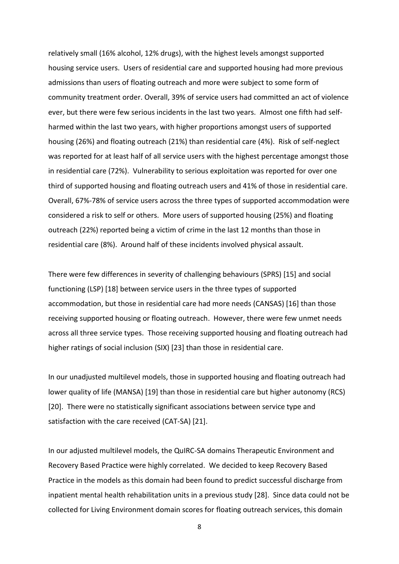relatively small (16% alcohol, 12% drugs), with the highest levels amongst supported housing service users. Users of residential care and supported housing had more previous admissions than users of floating outreach and more were subject to some form of community treatment order. Overall, 39% of service users had committed an act of violence ever, but there were few serious incidents in the last two years. Almost one fifth had selfharmed within the last two years, with higher proportions amongst users of supported housing (26%) and floating outreach (21%) than residential care (4%). Risk of self-neglect was reported for at least half of all service users with the highest percentage amongst those in residential care (72%). Vulnerability to serious exploitation was reported for over one third of supported housing and floating outreach users and 41% of those in residential care. Overall, 67%-78% of service users across the three types of supported accommodation were considered a risk to self or others. More users of supported housing (25%) and floating outreach (22%) reported being a victim of crime in the last 12 months than those in residential care (8%). Around half of these incidents involved physical assault.

There were few differences in severity of challenging behaviours (SPRS) [15] and social functioning (LSP) [18] between service users in the three types of supported accommodation, but those in residential care had more needs (CANSAS) [16] than those receiving supported housing or floating outreach. However, there were few unmet needs across all three service types. Those receiving supported housing and floating outreach had higher ratings of social inclusion (SIX) [23] than those in residential care.

In our unadjusted multilevel models, those in supported housing and floating outreach had lower quality of life (MANSA) [19] than those in residential care but higher autonomy (RCS) [20]. There were no statistically significant associations between service type and satisfaction with the care received (CAT-SA) [21].

In our adjusted multilevel models, the QuIRC-SA domains Therapeutic Environment and Recovery Based Practice were highly correlated. We decided to keep Recovery Based Practice in the models as this domain had been found to predict successful discharge from inpatient mental health rehabilitation units in a previous study [28]. Since data could not be collected for Living Environment domain scores for floating outreach services, this domain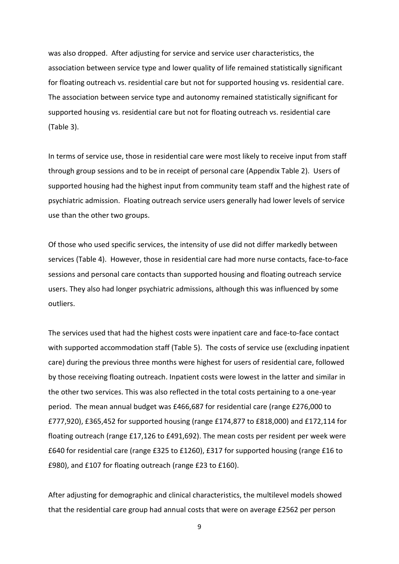was also dropped. After adjusting for service and service user characteristics, the association between service type and lower quality of life remained statistically significant for floating outreach vs. residential care but not for supported housing vs. residential care. The association between service type and autonomy remained statistically significant for supported housing vs. residential care but not for floating outreach vs. residential care (Table 3).

In terms of service use, those in residential care were most likely to receive input from staff through group sessions and to be in receipt of personal care (Appendix Table 2). Users of supported housing had the highest input from community team staff and the highest rate of psychiatric admission. Floating outreach service users generally had lower levels of service use than the other two groups.

Of those who used specific services, the intensity of use did not differ markedly between services (Table 4). However, those in residential care had more nurse contacts, face-to-face sessions and personal care contacts than supported housing and floating outreach service users. They also had longer psychiatric admissions, although this was influenced by some outliers.

The services used that had the highest costs were inpatient care and face-to-face contact with supported accommodation staff (Table 5). The costs of service use (excluding inpatient care) during the previous three months were highest for users of residential care, followed by those receiving floating outreach. Inpatient costs were lowest in the latter and similar in the other two services. This was also reflected in the total costs pertaining to a one-year period. The mean annual budget was £466,687 for residential care (range £276,000 to £777,920), £365,452 for supported housing (range £174,877 to £818,000) and £172,114 for floating outreach (range £17,126 to £491,692). The mean costs per resident per week were £640 for residential care (range £325 to £1260), £317 for supported housing (range £16 to £980), and £107 for floating outreach (range £23 to £160).

After adjusting for demographic and clinical characteristics, the multilevel models showed that the residential care group had annual costs that were on average £2562 per person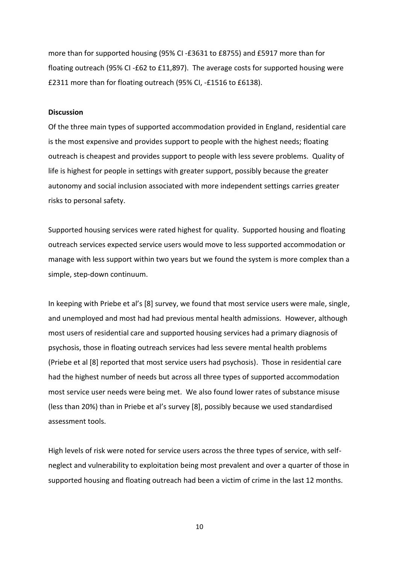more than for supported housing (95% CI -£3631 to £8755) and £5917 more than for floating outreach (95% CI -£62 to £11,897). The average costs for supported housing were £2311 more than for floating outreach (95% CI, -£1516 to £6138).

#### **Discussion**

Of the three main types of supported accommodation provided in England, residential care is the most expensive and provides support to people with the highest needs; floating outreach is cheapest and provides support to people with less severe problems. Quality of life is highest for people in settings with greater support, possibly because the greater autonomy and social inclusion associated with more independent settings carries greater risks to personal safety.

Supported housing services were rated highest for quality. Supported housing and floating outreach services expected service users would move to less supported accommodation or manage with less support within two years but we found the system is more complex than a simple, step-down continuum.

In keeping with Priebe et al's [8] survey, we found that most service users were male, single, and unemployed and most had had previous mental health admissions. However, although most users of residential care and supported housing services had a primary diagnosis of psychosis, those in floating outreach services had less severe mental health problems (Priebe et al [8] reported that most service users had psychosis). Those in residential care had the highest number of needs but across all three types of supported accommodation most service user needs were being met. We also found lower rates of substance misuse (less than 20%) than in Priebe et al's survey [8], possibly because we used standardised assessment tools.

High levels of risk were noted for service users across the three types of service, with selfneglect and vulnerability to exploitation being most prevalent and over a quarter of those in supported housing and floating outreach had been a victim of crime in the last 12 months.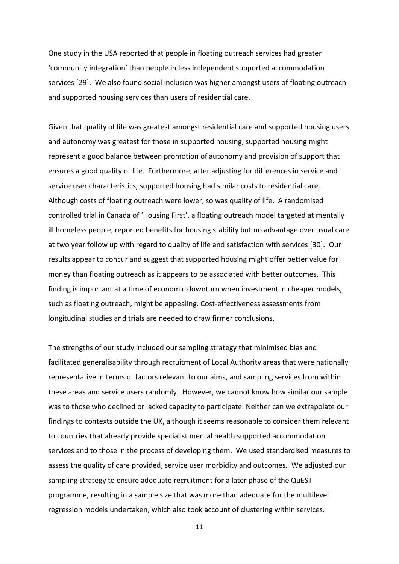One study in the USA reported that people in floating outreach services had greater 'community integration' than people in less independent supported accommodation services [29]. We also found social inclusion was higher amongst users of floating outreach and supported housing services than users of residential care.

Given that quality of life was greatest amongst residential care and supported housing users and autonomy was greatest for those in supported housing, supported housing might represent a good balance between promotion of autonomy and provision of support that ensures a good quality of life. Furthermore, after adjusting for differences in service and service user characteristics, supported housing had similar costs to residential care. Although costs of floating outreach were lower, so was quality of life. A randomised controlled trial in Canada of 'Housing First', a floating outreach model targeted at mentally ill homeless people, reported benefits for housing stability but no advantage over usual care at two year follow up with regard to quality of life and satisfaction with services [30]. Our results appear to concur and suggest that supported housing might offer better value for money than floating outreach as it appears to be associated with better outcomes. This finding is important at a time of economic downturn when investment in cheaper models, such as floating outreach, might be appealing. Cost-effectiveness assessments from longitudinal studies and trials are needed to draw firmer conclusions.

The strengths of our study included our sampling strategy that minimised bias and facilitated generalisability through recruitment of Local Authority areas that were nationally representative in terms of factors relevant to our aims, and sampling services from within these areas and service users randomly. However, we cannot know how similar our sample was to those who declined or lacked capacity to participate. Neither can we extrapolate our findings to contexts outside the UK, although it seems reasonable to consider them relevant to countries that already provide specialist mental health supported accommodation services and to those in the process of developing them. We used standardised measures to assess the quality of care provided, service user morbidity and outcomes. We adjusted our sampling strategy to ensure adequate recruitment for a later phase of the QuEST programme, resulting in a sample size that was more than adequate for the multilevel regression models undertaken, which also took account of clustering within services.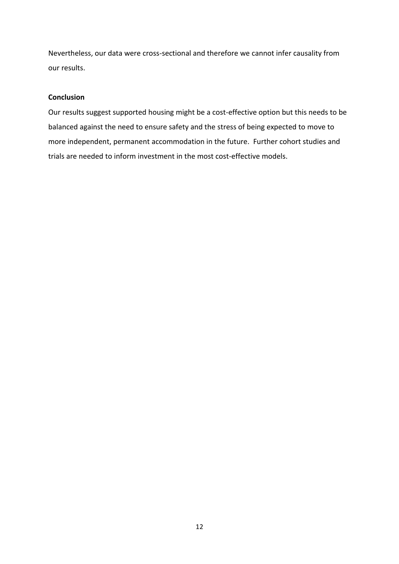Nevertheless, our data were cross-sectional and therefore we cannot infer causality from our results.

# **Conclusion**

Our results suggest supported housing might be a cost-effective option but this needs to be balanced against the need to ensure safety and the stress of being expected to move to more independent, permanent accommodation in the future. Further cohort studies and trials are needed to inform investment in the most cost-effective models.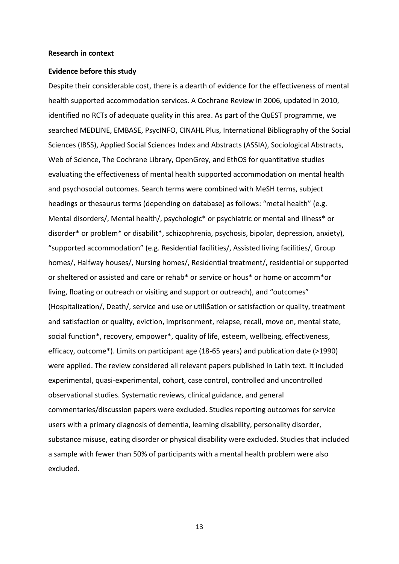#### **Research in context**

#### **Evidence before this study**

Despite their considerable cost, there is a dearth of evidence for the effectiveness of mental health supported accommodation services. A Cochrane Review in 2006, updated in 2010, identified no RCTs of adequate quality in this area. As part of the QuEST programme, we searched MEDLINE, EMBASE, PsycINFO, CINAHL Plus, International Bibliography of the Social Sciences (IBSS), Applied Social Sciences Index and Abstracts (ASSIA), Sociological Abstracts, Web of Science, The Cochrane Library, OpenGrey, and EthOS for quantitative studies evaluating the effectiveness of mental health supported accommodation on mental health and psychosocial outcomes. Search terms were combined with MeSH terms, subject headings or thesaurus terms (depending on database) as follows: "metal health" (e.g. Mental disorders/, Mental health/, psychologic\* or psychiatric or mental and illness\* or disorder\* or problem\* or disabilit\*, schizophrenia, psychosis, bipolar, depression, anxiety), "supported accommodation" (e.g. Residential facilities/, Assisted living facilities/, Group homes/, Halfway houses/, Nursing homes/, Residential treatment/, residential or supported or sheltered or assisted and care or rehab\* or service or hous\* or home or accomm\*or living, floating or outreach or visiting and support or outreach), and "outcomes" (Hospitalization/, Death/, service and use or utili\$ation or satisfaction or quality, treatment and satisfaction or quality, eviction, imprisonment, relapse, recall, move on, mental state, social function\*, recovery, empower\*, quality of life, esteem, wellbeing, effectiveness, efficacy, outcome\*). Limits on participant age (18-65 years) and publication date (>1990) were applied. The review considered all relevant papers published in Latin text. It included experimental, quasi-experimental, cohort, case control, controlled and uncontrolled observational studies. Systematic reviews, clinical guidance, and general commentaries/discussion papers were excluded. Studies reporting outcomes for service users with a primary diagnosis of dementia, learning disability, personality disorder, substance misuse, eating disorder or physical disability were excluded. Studies that included a sample with fewer than 50% of participants with a mental health problem were also excluded.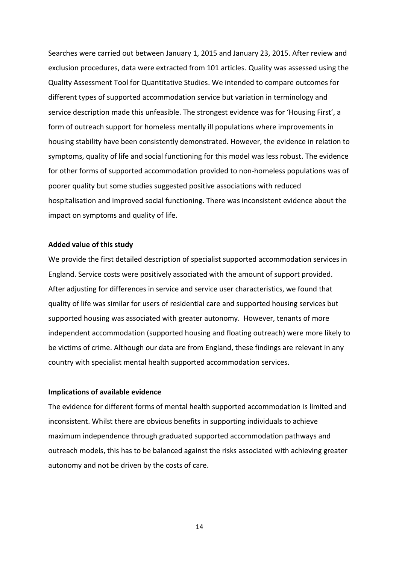Searches were carried out between January 1, 2015 and January 23, 2015. After review and exclusion procedures, data were extracted from 101 articles. Quality was assessed using the Quality Assessment Tool for Quantitative Studies. We intended to compare outcomes for different types of supported accommodation service but variation in terminology and service description made this unfeasible. The strongest evidence was for 'Housing First', a form of outreach support for homeless mentally ill populations where improvements in housing stability have been consistently demonstrated. However, the evidence in relation to symptoms, quality of life and social functioning for this model was less robust. The evidence for other forms of supported accommodation provided to non-homeless populations was of poorer quality but some studies suggested positive associations with reduced hospitalisation and improved social functioning. There was inconsistent evidence about the impact on symptoms and quality of life.

#### **Added value of this study**

We provide the first detailed description of specialist supported accommodation services in England. Service costs were positively associated with the amount of support provided. After adjusting for differences in service and service user characteristics, we found that quality of life was similar for users of residential care and supported housing services but supported housing was associated with greater autonomy. However, tenants of more independent accommodation (supported housing and floating outreach) were more likely to be victims of crime. Although our data are from England, these findings are relevant in any country with specialist mental health supported accommodation services.

## **Implications of available evidence**

The evidence for different forms of mental health supported accommodation is limited and inconsistent. Whilst there are obvious benefits in supporting individuals to achieve maximum independence through graduated supported accommodation pathways and outreach models, this has to be balanced against the risks associated with achieving greater autonomy and not be driven by the costs of care.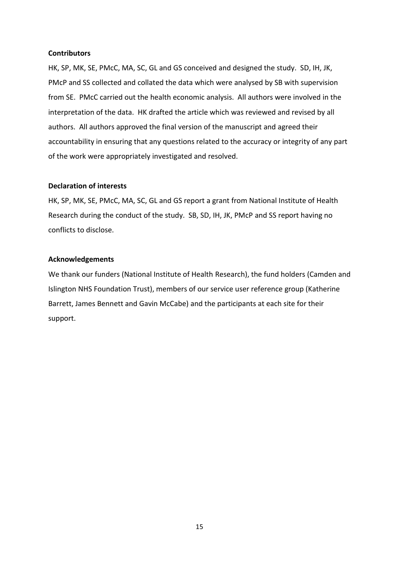# **Contributors**

HK, SP, MK, SE, PMcC, MA, SC, GL and GS conceived and designed the study. SD, IH, JK, PMcP and SS collected and collated the data which were analysed by SB with supervision from SE. PMcC carried out the health economic analysis. All authors were involved in the interpretation of the data. HK drafted the article which was reviewed and revised by all authors. All authors approved the final version of the manuscript and agreed their accountability in ensuring that any questions related to the accuracy or integrity of any part of the work were appropriately investigated and resolved.

# **Declaration of interests**

HK, SP, MK, SE, PMcC, MA, SC, GL and GS report a grant from National Institute of Health Research during the conduct of the study. SB, SD, IH, JK, PMcP and SS report having no conflicts to disclose.

# **Acknowledgements**

We thank our funders (National Institute of Health Research), the fund holders (Camden and Islington NHS Foundation Trust), members of our service user reference group (Katherine Barrett, James Bennett and Gavin McCabe) and the participants at each site for their support.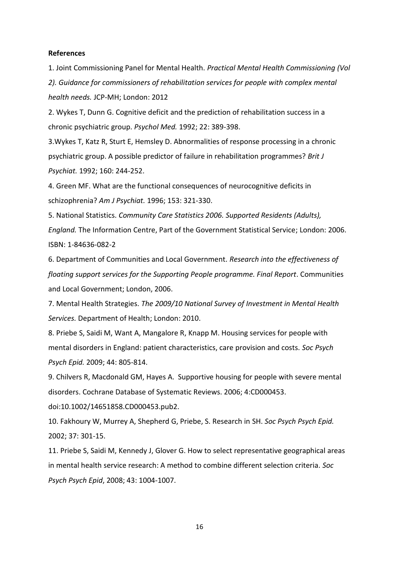#### **References**

1. Joint Commissioning Panel for Mental Health. *Practical Mental Health Commissioning (Vol* 

*2). Guidance for commissioners of rehabilitation services for people with complex mental health needs.* JCP-MH; London: 2012

2. Wykes T, Dunn G. Cognitive deficit and the prediction of rehabilitation success in a chronic psychiatric group. *Psychol Med.* 1992; 22: 389-398.

3.Wykes T, Katz R, Sturt E, Hemsley D. Abnormalities of response processing in a chronic psychiatric group. A possible predictor of failure in rehabilitation programmes? *Brit J Psychiat.* 1992; 160: 244-252.

4. Green MF. What are the functional consequences of neurocognitive deficits in schizophrenia? *Am J Psychiat.* 1996; 153: 321-330.

5. National Statistics. *Community Care Statistics 2006. Supported Residents (Adults), England.* The Information Centre, Part of the Government Statistical Service; London: 2006. ISBN: 1-84636-082-2

6. Department of Communities and Local Government. *Research into the effectiveness of floating support services for the Supporting People programme. Final Report*. Communities and Local Government; London, 2006.

7. Mental Health Strategies. *The 2009/10 National Survey of Investment in Mental Health Services.* Department of Health; London: 2010.

8. Priebe S, Saidi M, Want A, Mangalore R, Knapp M. Housing services for people with mental disorders in England: patient characteristics, care provision and costs. *Soc Psych Psych Epid.* 2009; 44: 805-814.

9. Chilvers R, Macdonald GM, Hayes A. Supportive housing for people with severe mental disorders. Cochrane Database of Systematic Reviews. 2006; 4:CD000453.

doi:10.1002/14651858.CD000453.pub2.

10. Fakhoury W, Murrey A, Shepherd G, Priebe, S. Research in SH. *Soc Psych Psych Epid.* 2002; 37: 301-15.

11. Priebe S, Saidi M, Kennedy J, Glover G. How to select representative geographical areas in mental health service research: A method to combine different selection criteria. *Soc Psych Psych Epid*, 2008; 43: 1004-1007.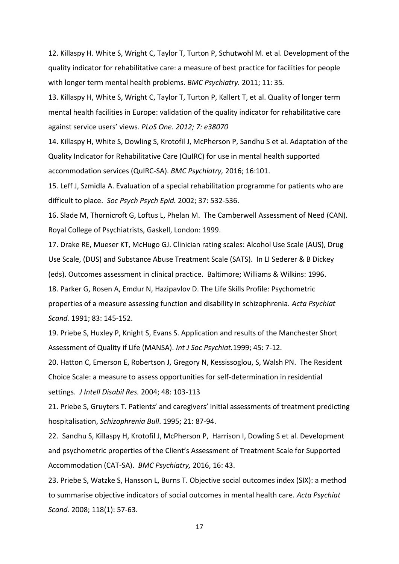12. Killaspy H. White S, Wright C, Taylor T, Turton P, Schutwohl M. et al. Development of the quality indicator for rehabilitative care: a measure of best practice for facilities for people with longer term mental health problems. *BMC Psychiatry.* 2011; 11: 35*.* 

13. Killaspy H, White S, Wright C, Taylor T, Turton P, Kallert T, et al. Quality of longer term mental health facilities in Europe: validation of the quality indicator for rehabilitative care against service users' views*. PLoS One. 2012; 7: e38070*

14. Killaspy H, White S, Dowling S, Krotofil J, McPherson P, Sandhu S et al. Adaptation of the Quality Indicator for Rehabilitative Care (QuIRC) for use in mental health supported accommodation services (QuIRC-SA). *BMC Psychiatry,* 2016; 16:101.

15. Leff J, Szmidla A. Evaluation of a special rehabilitation programme for patients who are difficult to place. *Soc Psych Psych Epid.* 2002; 37: 532-536.

16. Slade M, Thornicroft G, Loftus L, Phelan M. The Camberwell Assessment of Need (CAN). Royal College of Psychiatrists, Gaskell, London: 1999.

17. Drake RE, Mueser KT, McHugo GJ. Clinician rating scales: Alcohol Use Scale (AUS), Drug Use Scale, (DUS) and Substance Abuse Treatment Scale (SATS). In LI Sederer & B Dickey (eds). Outcomes assessment in clinical practice. Baltimore; Williams & Wilkins: 1996. 18. Parker G, Rosen A, Emdur N, Hazipavlov D. The Life Skills Profile: Psychometric

properties of a measure assessing function and disability in schizophrenia. *Acta Psychiat Scand.* 1991; 83: 145-152.

19. Priebe S, Huxley P, Knight S, Evans S. Application and results of the Manchester Short Assessment of Quality if Life (MANSA). *Int J Soc Psychiat.*1999; 45: 7-12.

20. Hatton C, Emerson E, Robertson J, Gregory N, Kessissoglou, S, Walsh PN. The Resident Choice Scale: a measure to assess opportunities for self-determination in residential settings. *J Intell Disabil Res.* 2004; 48: 103-113

21. Priebe S, Gruyters T. Patients' and caregivers' initial assessments of treatment predicting hospitalisation, *Schizophrenia Bull*. 1995; 21: 87-94.

22. Sandhu S, Killaspy H, Krotofil J, McPherson P, Harrison I, Dowling S et al. Development and psychometric properties of the Client's Assessment of Treatment Scale for Supported Accommodation (CAT-SA). *BMC Psychiatry,* 2016, 16: 43.

23. Priebe S, Watzke S, Hansson L, Burns T. Objective social outcomes index (SIX): a method to summarise objective indicators of social outcomes in mental health care. *Acta Psychiat Scand.* 2008; 118(1): 57-63.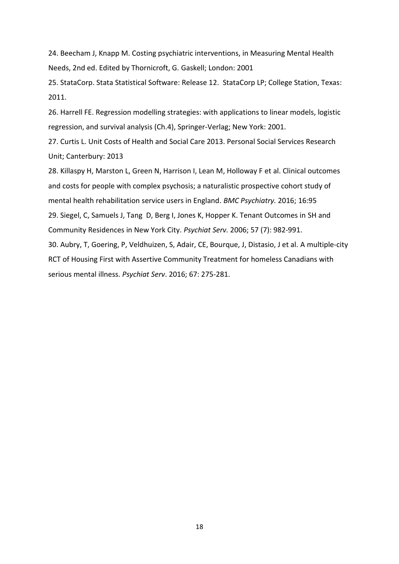24. Beecham J, Knapp M. Costing psychiatric interventions, in Measuring Mental Health Needs, 2nd ed. Edited by Thornicroft, G. Gaskell; London: 2001

25. StataCorp. Stata Statistical Software: Release 12. StataCorp LP; College Station, Texas: 2011.

26. Harrell FE. Regression modelling strategies: with applications to linear models, logistic regression, and survival analysis (Ch.4), Springer-Verlag; New York: 2001.

27. Curtis L. Unit Costs of Health and Social Care 2013. Personal Social Services Research Unit; Canterbury: 2013

28. Killaspy H, Marston L, Green N, Harrison I, Lean M, Holloway F et al. Clinical outcomes and costs for people with complex psychosis; a naturalistic prospective cohort study of mental health rehabilitation service users in England. *BMC Psychiatry.* 2016; 16:95 29. Siegel, C, Samuels J, Tang D, Berg I, Jones K, Hopper K. Tenant Outcomes in SH and Community Residences in New York City. *Psychiat Serv.* 2006; 57 (7): 982-991. 30. Aubry, T, Goering, P, Veldhuizen, S, Adair, CE, Bourque, J, Distasio, J et al. A multiple-city RCT of Housing First with Assertive Community Treatment for homeless Canadians with serious mental illness. *Psychiat Serv*. 2016; 67: 275-281.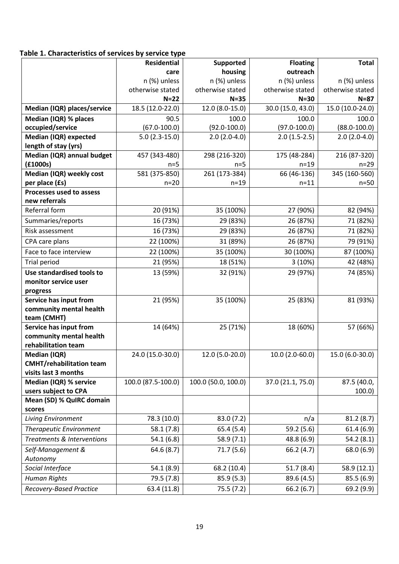# **Table 1. Characteristics of services by service type**

|                                                         | <b>Residential</b> | Supported           | <b>Floating</b>   | <b>Total</b>     |
|---------------------------------------------------------|--------------------|---------------------|-------------------|------------------|
|                                                         | care               | housing             | outreach          |                  |
|                                                         | n (%) unless       | n (%) unless        | n (%) unless      | n (%) unless     |
|                                                         | otherwise stated   | otherwise stated    | otherwise stated  | otherwise stated |
|                                                         | $N=22$             | $N = 35$            | $N=30$            | $N=87$           |
| Median (IQR) places/service                             | 18.5 (12.0-22.0)   | 12.0 (8.0-15.0)     | 30.0 (15.0, 43.0) | 15.0 (10.0-24.0) |
| Median (IQR) % places                                   | 90.5               | 100.0               | 100.0             | 100.0            |
| occupied/service                                        | $(67.0 - 100.0)$   | $(92.0 - 100.0)$    | $(97.0 - 100.0)$  | $(88.0 - 100.0)$ |
| Median (IQR) expected                                   | $5.0(2.3-15.0)$    | $2.0(2.0-4.0)$      | $2.0(1.5-2.5)$    | $2.0(2.0-4.0)$   |
| length of stay (yrs)                                    |                    |                     |                   |                  |
| Median (IQR) annual budget                              | 457 (343-480)      | 298 (216-320)       | 175 (48-284)      | 216 (87-320)     |
| (f1000s)                                                | $n=5$              | $n=5$               | $n=19$            | $n=29$           |
| Median (IQR) weekly cost                                | 581 (375-850)      | 261 (173-384)       | 66 (46-136)       | 345 (160-560)    |
| per place (£s)                                          | $n = 20$           | $n = 19$            | $n = 11$          | $n=50$           |
| Processes used to assess                                |                    |                     |                   |                  |
| new referrals                                           |                    |                     |                   |                  |
| Referral form                                           | 20 (91%)           | 35 (100%)           | 27 (90%)          | 82 (94%)         |
| Summaries/reports                                       | 16 (73%)           | 29 (83%)            | 26 (87%)          | 71 (82%)         |
| Risk assessment                                         | 16 (73%)           | 29 (83%)            | 26 (87%)          | 71 (82%)         |
| CPA care plans                                          | 22 (100%)          | 31 (89%)            | 26 (87%)          | 79 (91%)         |
| Face to face interview                                  | 22 (100%)          | 35 (100%)           | 30 (100%)         | 87 (100%)        |
| <b>Trial period</b>                                     | 21 (95%)           | 18 (51%)            | 3(10%)            | 42 (48%)         |
| Use standardised tools to                               | 13 (59%)           | 32 (91%)            | 29 (97%)          | 74 (85%)         |
| monitor service user                                    |                    |                     |                   |                  |
| progress                                                |                    |                     |                   |                  |
| Service has input from                                  | 21 (95%)           | 35 (100%)           | 25 (83%)          | 81 (93%)         |
| community mental health                                 |                    |                     |                   |                  |
| team (CMHT)                                             |                    |                     |                   |                  |
| Service has input from                                  | 14 (64%)           | 25 (71%)            | 18 (60%)          | 57 (66%)         |
| community mental health                                 |                    |                     |                   |                  |
| rehabilitation team                                     |                    |                     |                   |                  |
| Median (IQR)                                            | 24.0 (15.0-30.0)   | 12.0 (5.0-20.0)     | 10.0 (2.0-60.0)   | 15.0 (6.0-30.0)  |
| <b>CMHT/rehabilitation team</b><br>visits last 3 months |                    |                     |                   |                  |
| Median (IQR) % service                                  | 100.0 (87.5-100.0) | 100.0 (50.0, 100.0) | 37.0 (21.1, 75.0) | 87.5 (40.0,      |
| users subject to CPA                                    |                    |                     |                   | 100.0            |
| Mean (SD) % QuIRC domain                                |                    |                     |                   |                  |
| scores                                                  |                    |                     |                   |                  |
| <b>Living Environment</b>                               | 78.3 (10.0)        | 83.0 (7.2)          | n/a               | 81.2(8.7)        |
| <b>Therapeutic Environment</b>                          | 58.1(7.8)          | 65.4(5.4)           | 59.2 (5.6)        | 61.4(6.9)        |
| Treatments & Interventions                              | 54.1(6.8)          | 58.9(7.1)           | 48.8 (6.9)        | 54.2(8.1)        |
|                                                         |                    |                     |                   |                  |
| Self-Management &<br>Autonomy                           | 64.6(8.7)          | 71.7(5.6)           | 66.2(4.7)         | 68.0 (6.9)       |
| Social Interface                                        | 54.1(8.9)          | 68.2 (10.4)         | 51.7(8.4)         | 58.9 (12.1)      |
| <b>Human Rights</b>                                     | 79.5 (7.8)         | 85.9(5.3)           | 89.6 (4.5)        | 85.5(6.9)        |
|                                                         |                    |                     |                   |                  |
| <b>Recovery-Based Practice</b>                          | 63.4 (11.8)        | 75.5 (7.2)          | 66.2 (6.7)        | 69.2 (9.9)       |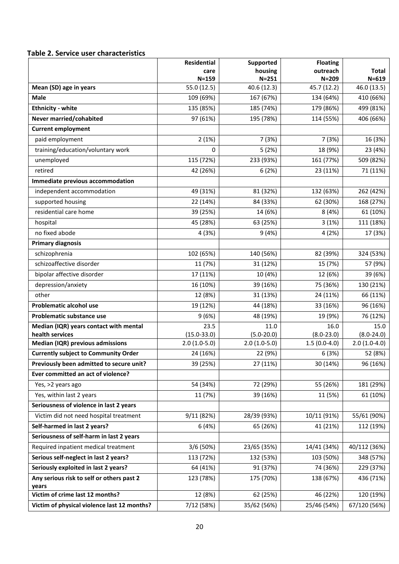# **Table 2. Service user characteristics**

|                                                           | Residential              | Supported                | <b>Floating</b>          |                          |
|-----------------------------------------------------------|--------------------------|--------------------------|--------------------------|--------------------------|
|                                                           | care                     | housing                  | outreach                 | <b>Total</b>             |
| Mean (SD) age in years                                    | $N = 159$<br>55.0 (12.5) | $N = 251$<br>40.6 (12.3) | $N = 209$<br>45.7 (12.2) | $N = 619$<br>46.0 (13.5) |
| <b>Male</b>                                               | 109 (69%)                | 167 (67%)                | 134 (64%)                | 410 (66%)                |
| <b>Ethnicity - white</b>                                  | 135 (85%)                | 185 (74%)                | 179 (86%)                | 499 (81%)                |
| Never married/cohabited                                   | 97 (61%)                 | 195 (78%)                | 114 (55%)                | 406 (66%)                |
| <b>Current employment</b>                                 |                          |                          |                          |                          |
| paid employment                                           | 2(1%)                    | 7 (3%)                   | 7(3%)                    | 16 (3%)                  |
| training/education/voluntary work                         | 0                        | 5(2%)                    | 18 (9%)                  | 23 (4%)                  |
| unemployed                                                | 115 (72%)                | 233 (93%)                | 161 (77%)                | 509 (82%)                |
| retired                                                   | 42 (26%)                 | 6(2%)                    | 23 (11%)                 | 71 (11%)                 |
| Immediate previous accommodation                          |                          |                          |                          |                          |
| independent accommodation                                 | 49 (31%)                 | 81 (32%)                 | 132 (63%)                | 262 (42%)                |
| supported housing                                         | 22 (14%)                 | 84 (33%)                 | 62 (30%)                 | 168 (27%)                |
| residential care home                                     | 39 (25%)                 | 14 (6%)                  | 8(4%)                    | 61 (10%)                 |
|                                                           |                          |                          |                          |                          |
| hospital<br>no fixed abode                                | 45 (28%)                 | 63 (25%)                 | 3(1%)                    | 111 (18%)                |
|                                                           | 4(3%)                    | 9(4%)                    | 4(2%)                    | 17 (3%)                  |
| <b>Primary diagnosis</b>                                  |                          |                          |                          |                          |
| schizophrenia                                             | 102 (65%)                | 140 (56%)                | 82 (39%)                 | 324 (53%)                |
| schizoaffective disorder                                  | 11 (7%)                  | 31 (12%)                 | 15 (7%)                  | 57 (9%)                  |
| bipolar affective disorder                                | 17 (11%)                 | 10 (4%)                  | 12 (6%)                  | 39 (6%)                  |
| depression/anxiety                                        | 16 (10%)                 | 39 (16%)                 | 75 (36%)                 | 130 (21%)                |
| other                                                     | 12 (8%)                  | 31 (13%)                 | 24 (11%)                 | 66 (11%)                 |
| <b>Problematic alcohol use</b>                            | 19 (12%)                 | 44 (18%)                 | 33 (16%)                 | 96 (16%)                 |
| Problematic substance use                                 | 9(6%)                    | 48 (19%)                 | 19 (9%)                  | 76 (12%)                 |
| Median (IQR) years contact with mental<br>health services | 23.5<br>$(15.0 - 33.0)$  | 11.0<br>$(5.0 - 20.0)$   | 16.0<br>$(8.0 - 23.0)$   | 15.0<br>$(8.0 - 24.0)$   |
| Median (IQR) previous admissions                          | $2.0(1.0-5.0)$           | $2.0(1.0-5.0)$           | $1.5(0.0-4.0)$           | $2.0(1.0-4.0)$           |
| <b>Currently subject to Community Order</b>               | 24 (16%)                 | 22 (9%)                  | 6(3%)                    | 52 (8%)                  |
| Previously been admitted to secure unit?                  | 39 (25%)                 | 27 (11%)                 | 30 (14%)                 | 96 (16%)                 |
| Ever committed an act of violence?                        |                          |                          |                          |                          |
| Yes, >2 years ago                                         | 54 (34%)                 | 72 (29%)                 | 55 (26%)                 | 181 (29%)                |
| Yes, within last 2 years                                  | 11 (7%)                  | 39 (16%)                 | 11 (5%)                  | 61 (10%)                 |
| Seriousness of violence in last 2 years                   |                          |                          |                          |                          |
| Victim did not need hospital treatment                    | 9/11 (82%)               | 28/39 (93%)              | 10/11 (91%)              | 55/61 (90%)              |
| Self-harmed in last 2 years?                              | 6(4%)                    | 65 (26%)                 | 41 (21%)                 | 112 (19%)                |
| Seriousness of self-harm in last 2 years                  |                          |                          |                          |                          |
| Required inpatient medical treatment                      | 3/6 (50%)                | 23/65 (35%)              | 14/41 (34%)              | 40/112 (36%)             |
| Serious self-neglect in last 2 years?                     | 113 (72%)                | 132 (53%)                | 103 (50%)                | 348 (57%)                |
| Seriously exploited in last 2 years?                      | 64 (41%)                 | 91 (37%)                 | 74 (36%)                 | 229 (37%)                |
| Any serious risk to self or others past 2                 | 123 (78%)                | 175 (70%)                | 138 (67%)                | 436 (71%)                |
| years                                                     |                          |                          |                          |                          |
| Victim of crime last 12 months?                           | 12 (8%)                  | 62 (25%)                 | 46 (22%)                 | 120 (19%)                |
| Victim of physical violence last 12 months?               | 7/12 (58%)               | 35/62 (56%)              | 25/46 (54%)              | 67/120 (56%)             |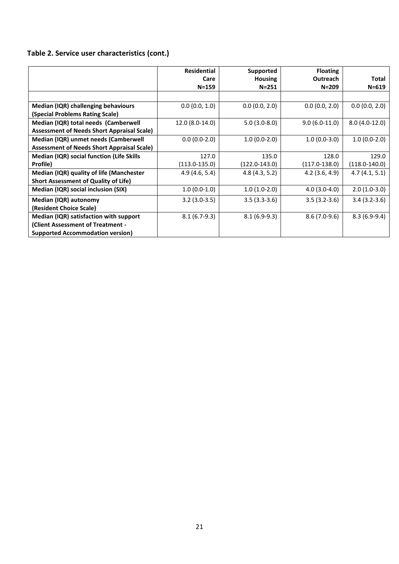# **Table 2. Service user characteristics (cont.)**

|                                                   | <b>Residential</b> | Supported         | <b>Floating</b>  |                   |
|---------------------------------------------------|--------------------|-------------------|------------------|-------------------|
|                                                   | Care               | <b>Housing</b>    | <b>Outreach</b>  | <b>Total</b>      |
|                                                   | $N = 159$          | $N = 251$         | $N = 209$        | $N = 619$         |
|                                                   |                    |                   |                  |                   |
| Median (IQR) challenging behaviours               | 0.0(0.0, 1.0)      | 0.0(0.0, 2.0)     | 0.0(0.0, 2.0)    | 0.0(0.0, 2.0)     |
| (Special Problems Rating Scale)                   |                    |                   |                  |                   |
| Median (IQR) total needs (Camberwell              | 12.0 (8.0-14.0)    | $5.0(3.0-8.0)$    | $9.0(6.0-11.0)$  | $8.0(4.0-12.0)$   |
| <b>Assessment of Needs Short Appraisal Scale)</b> |                    |                   |                  |                   |
| Median (IQR) unmet needs (Camberwell              | $0.0(0.0-2.0)$     | $1.0(0.0-2.0)$    | $1.0(0.0-3.0)$   | $1.0(0.0-2.0)$    |
| <b>Assessment of Needs Short Appraisal Scale)</b> |                    |                   |                  |                   |
| <b>Median (IQR) social function (Life Skills</b>  | 127.0              | 135.0             | 128.0            | 129.0             |
| Profile)                                          | $(113.0 - 135.0)$  | $(122.0 - 143.0)$ | $(117.0-138.0)$  | $(118.0 - 140.0)$ |
| Median (IQR) quality of life (Manchester          | 4.9(4.6, 5.4)      | 4.8(4.3, 5.2)     | $4.2$ (3.6, 4.9) | 4.7(4.1, 5.1)     |
| <b>Short Assessment of Quality of Life)</b>       |                    |                   |                  |                   |
| Median (IQR) social inclusion (SIX)               | $1.0(0.0-1.0)$     | $1.0(1.0-2.0)$    | $4.0(3.0-4.0)$   | $2.0(1.0-3.0)$    |
| Median (IQR) autonomy                             | $3.2(3.0-3.5)$     | $3.5(3.3-3.6)$    | $3.5(3.2-3.6)$   | $3.4(3.2-3.6)$    |
| (Resident Choice Scale)                           |                    |                   |                  |                   |
| Median (IQR) satisfaction with support            | $8.1(6.7-9.3)$     | $8.1(6.9-9.3)$    | $8.6(7.0-9.6)$   | $8.3(6.9-9.4)$    |
| (Client Assessment of Treatment -                 |                    |                   |                  |                   |
| <b>Supported Accommodation version)</b>           |                    |                   |                  |                   |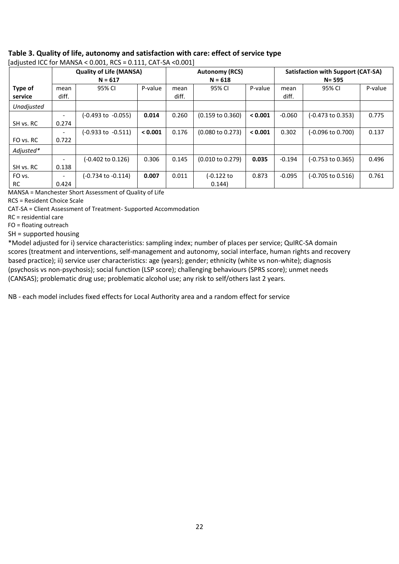# **Table 3. Quality of life, autonomy and satisfaction with care: effect of service type**

|                    | <b>Quality of Life (MANSA)</b><br>$N = 617$ |                    |         | <b>Autonomy (RCS)</b><br>$N = 618$ |                             |         | Satisfaction with Support (CAT-SA)<br>$N = 595$ |                   |         |  |
|--------------------|---------------------------------------------|--------------------|---------|------------------------------------|-----------------------------|---------|-------------------------------------------------|-------------------|---------|--|
| Type of<br>service | mean<br>diff.                               | 95% CI             | P-value | mean<br>diff.                      | 95% CI                      | P-value | mean<br>diff.                                   | 95% CI            | P-value |  |
| Unadjusted         |                                             |                    |         |                                    |                             |         |                                                 |                   |         |  |
|                    |                                             | (-0.493 to -0.055) | 0.014   | 0.260                              | $(0.159 \text{ to } 0.360)$ | < 0.001 | $-0.060$                                        | (-0.473 to 0.353) | 0.775   |  |
| SH vs. RC          | 0.274                                       |                    |         |                                    |                             |         |                                                 |                   |         |  |
|                    |                                             | (-0.933 to -0.511) | < 0.001 | 0.176                              | $(0.080 \text{ to } 0.273)$ | < 0.001 | 0.302                                           | (-0.096 to 0.700) | 0.137   |  |
| FO vs. RC          | 0.722                                       |                    |         |                                    |                             |         |                                                 |                   |         |  |
| Adjusted*          |                                             |                    |         |                                    |                             |         |                                                 |                   |         |  |
|                    |                                             | (-0.402 to 0.126)  | 0.306   | 0.145                              | $(0.010 \text{ to } 0.279)$ | 0.035   | $-0.194$                                        | (-0.753 to 0.365) | 0.496   |  |
| SH vs. RC          | 0.138                                       |                    |         |                                    |                             |         |                                                 |                   |         |  |
| FO vs.             |                                             | (-0.734 to -0.114) | 0.007   | 0.011                              | (-0.122 to                  | 0.873   | $-0.095$                                        | (-0.705 to 0.516) | 0.761   |  |
| RC                 | 0.424                                       |                    |         |                                    | 0.144                       |         |                                                 |                   |         |  |

[adjusted ICC for MANSA < 0.001, RCS = 0.111, CAT-SA <0.001]

MANSA = Manchester Short Assessment of Quality of Life

RCS = Resident Choice Scale

CAT-SA = Client Assessment of Treatment- Supported Accommodation

RC = residential care

FO = floating outreach

SH = supported housing

\*Model adjusted for i) service characteristics: sampling index; number of places per service; QuIRC-SA domain scores (treatment and interventions, self-management and autonomy, social interface, human rights and recovery based practice); ii) service user characteristics: age (years); gender; ethnicity (white vs non-white); diagnosis (psychosis vs non-psychosis); social function (LSP score); challenging behaviours (SPRS score); unmet needs (CANSAS); problematic drug use; problematic alcohol use; any risk to self/others last 2 years.

NB - each model includes fixed effects for Local Authority area and a random effect for service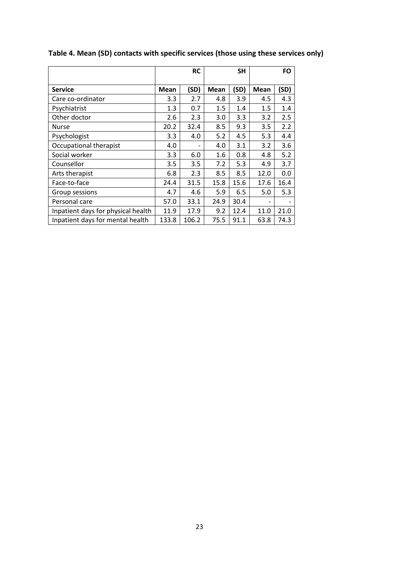|                                    |             | <b>RC</b> |             | <b>SH</b> |      | FO   |
|------------------------------------|-------------|-----------|-------------|-----------|------|------|
| <b>Service</b>                     | <b>Mean</b> | (SD)      | <b>Mean</b> | (SD)      | Mean | (SD) |
| Care co-ordinator                  | 3.3         | 2.7       | 4.8         | 3.9       | 4.5  | 4.3  |
| Psychiatrist                       | 1.3         | 0.7       | 1.5         | 1.4       | 1.5  | 1.4  |
| Other doctor                       | 2.6         | 2.3       | 3.0         | 3.3       | 3.2  | 2.5  |
| Nurse                              | 20.2        | 32.4      | 8.5         | 9.3       | 3.5  | 2.2  |
| Psychologist                       | 3.3         | 4.0       | 5.2         | 4.5       | 5.3  | 4.4  |
| Occupational therapist             | 4.0         |           | 4.0         | 3.1       | 3.2  | 3.6  |
| Social worker                      | 3.3         | 6.0       | 1.6         | 0.8       | 4.8  | 5.2  |
| Counsellor                         | 3.5         | 3.5       | 7.2         | 5.3       | 4.9  | 3.7  |
| Arts therapist                     | 6.8         | 2.3       | 8.5         | 8.5       | 12.0 | 0.0  |
| Face-to-face                       | 24.4        | 31.5      | 15.8        | 15.6      | 17.6 | 16.4 |
| Group sessions                     | 4.7         | 4.6       | 5.9         | 6.5       | 5.0  | 5.3  |
| Personal care                      | 57.0        | 33.1      | 24.9        | 30.4      |      |      |
| Inpatient days for physical health | 11.9        | 17.9      | 9.2         | 12.4      | 11.0 | 21.0 |
| Inpatient days for mental health   | 133.8       | 106.2     | 75.5        | 91.1      | 63.8 | 74.3 |

# **Table 4. Mean (SD) contacts with specific services (those using these services only)**